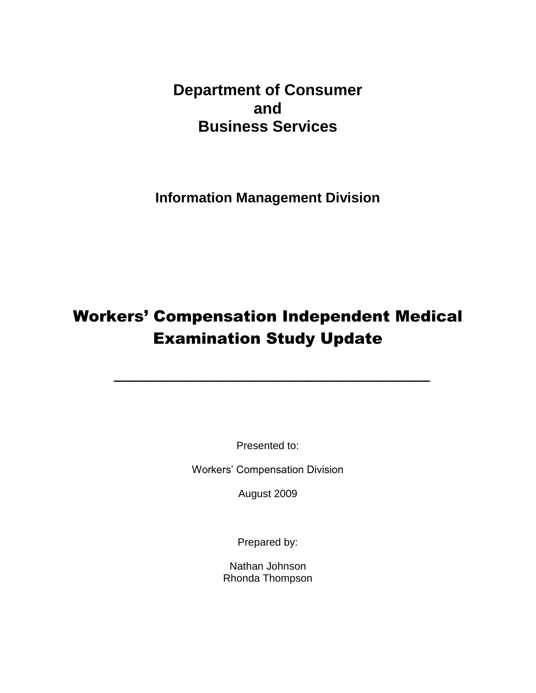<span id="page-0-0"></span>**Department of Consumer and Business Services**

**Information Management Division**

# Workers' Compensation Independent Medical Examination Study Update

**\_\_\_\_\_\_\_\_\_\_\_\_\_\_\_\_\_\_**

Presented to:

Workers' Compensation Division

August 2009

Prepared by:

Nathan Johnson Rhonda Thompson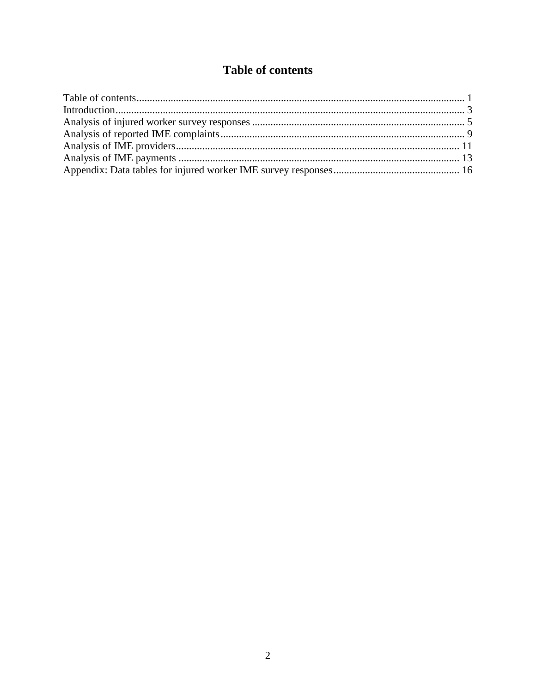# **Table of contents**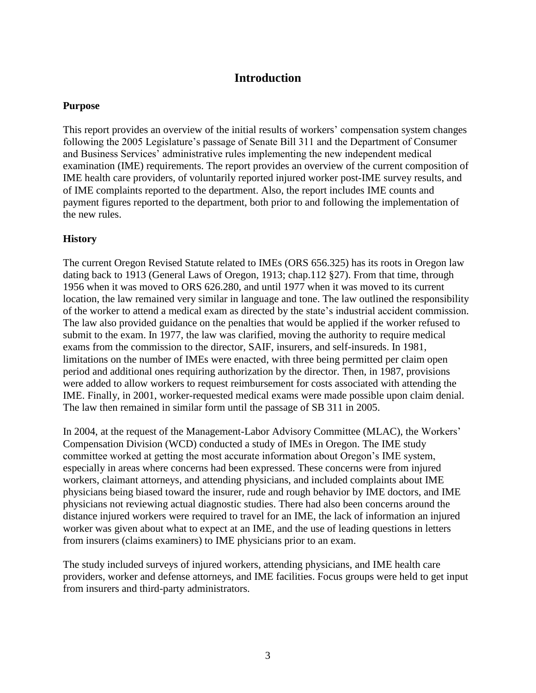# **Introduction**

# <span id="page-2-0"></span>**Purpose**

This report provides an overview of the initial results of workers' compensation system changes following the 2005 Legislature's passage of Senate Bill 311 and the Department of Consumer and Business Services' administrative rules implementing the new independent medical examination (IME) requirements. The report provides an overview of the current composition of IME health care providers, of voluntarily reported injured worker post-IME survey results, and of IME complaints reported to the department. Also, the report includes IME counts and payment figures reported to the department, both prior to and following the implementation of the new rules.

# **History**

The current Oregon Revised Statute related to IMEs (ORS 656.325) has its roots in Oregon law dating back to 1913 (General Laws of Oregon, 1913; chap.112 §27). From that time, through 1956 when it was moved to ORS 626.280, and until 1977 when it was moved to its current location, the law remained very similar in language and tone. The law outlined the responsibility of the worker to attend a medical exam as directed by the state's industrial accident commission. The law also provided guidance on the penalties that would be applied if the worker refused to submit to the exam. In 1977, the law was clarified, moving the authority to require medical exams from the commission to the director, SAIF, insurers, and self-insureds. In 1981, limitations on the number of IMEs were enacted, with three being permitted per claim open period and additional ones requiring authorization by the director. Then, in 1987, provisions were added to allow workers to request reimbursement for costs associated with attending the IME. Finally, in 2001, worker-requested medical exams were made possible upon claim denial. The law then remained in similar form until the passage of SB 311 in 2005.

In 2004, at the request of the Management-Labor Advisory Committee (MLAC), the Workers' Compensation Division (WCD) conducted a study of IMEs in Oregon. The IME study committee worked at getting the most accurate information about Oregon's IME system, especially in areas where concerns had been expressed. These concerns were from injured workers, claimant attorneys, and attending physicians, and included complaints about IME physicians being biased toward the insurer, rude and rough behavior by IME doctors, and IME physicians not reviewing actual diagnostic studies. There had also been concerns around the distance injured workers were required to travel for an IME, the lack of information an injured worker was given about what to expect at an IME, and the use of leading questions in letters from insurers (claims examiners) to IME physicians prior to an exam.

The study included surveys of injured workers, attending physicians, and IME health care providers, worker and defense attorneys, and IME facilities. Focus groups were held to get input from insurers and third-party administrators.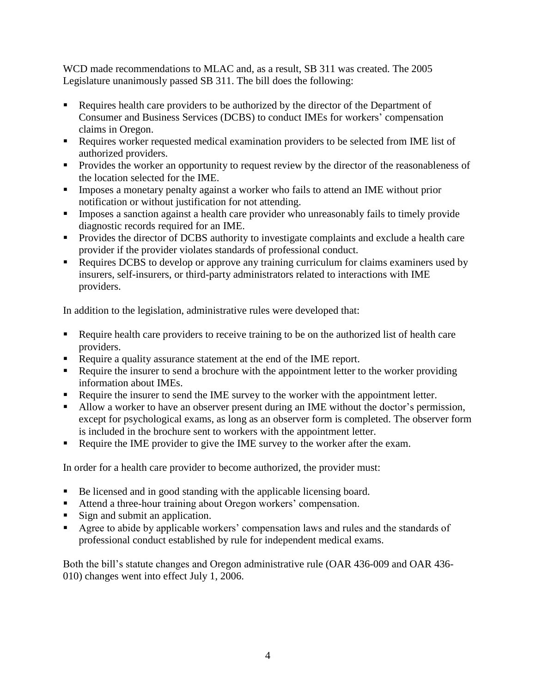WCD made recommendations to MLAC and, as a result, SB 311 was created. The 2005 Legislature unanimously passed SB 311. The bill does the following:

- Requires health care providers to be authorized by the director of the Department of Consumer and Business Services (DCBS) to conduct IMEs for workers' compensation claims in Oregon.
- Requires worker requested medical examination providers to be selected from IME list of authorized providers.
- **Provides the worker an opportunity to request review by the director of the reasonableness of** the location selected for the IME.
- **IMPO** Imposes a monetary penalty against a worker who fails to attend an IME without prior notification or without justification for not attending.
- Imposes a sanction against a health care provider who unreasonably fails to timely provide diagnostic records required for an IME.
- **Provides the director of DCBS authority to investigate complaints and exclude a health care** provider if the provider violates standards of professional conduct.
- Requires DCBS to develop or approve any training curriculum for claims examiners used by insurers, self-insurers, or third-party administrators related to interactions with IME providers.

In addition to the legislation, administrative rules were developed that:

- Require health care providers to receive training to be on the authorized list of health care providers.
- Require a quality assurance statement at the end of the IME report.
- Require the insurer to send a brochure with the appointment letter to the worker providing information about IMEs.
- Require the insurer to send the IME survey to the worker with the appointment letter.
- Allow a worker to have an observer present during an IME without the doctor's permission, except for psychological exams, as long as an observer form is completed. The observer form is included in the brochure sent to workers with the appointment letter.
- Require the IME provider to give the IME survey to the worker after the exam.

In order for a health care provider to become authorized, the provider must:

- Be licensed and in good standing with the applicable licensing board.
- Attend a three-hour training about Oregon workers' compensation.
- Sign and submit an application.
- Agree to abide by applicable workers' compensation laws and rules and the standards of professional conduct established by rule for independent medical exams.

Both the bill's statute changes and Oregon administrative rule (OAR 436-009 and OAR 436- 010) changes went into effect July 1, 2006.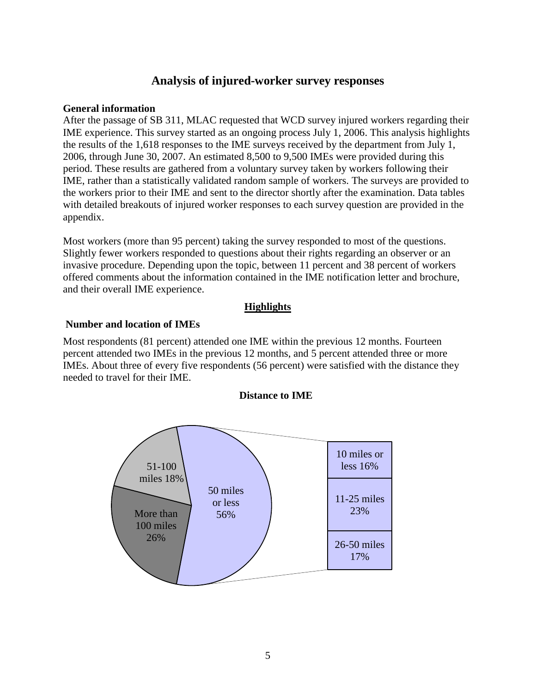# **Analysis of injured-worker survey responses**

### <span id="page-4-0"></span>**General information**

After the passage of SB 311, MLAC requested that WCD survey injured workers regarding their IME experience. This survey started as an ongoing process July 1, 2006. This analysis highlights the results of the 1,618 responses to the IME surveys received by the department from July 1, 2006, through June 30, 2007. An estimated 8,500 to 9,500 IMEs were provided during this period. These results are gathered from a voluntary survey taken by workers following their IME, rather than a statistically validated random sample of workers. The surveys are provided to the workers prior to their IME and sent to the director shortly after the examination. Data tables with detailed breakouts of injured worker responses to each survey question are provided in the appendix.

Most workers (more than 95 percent) taking the survey responded to most of the questions. Slightly fewer workers responded to questions about their rights regarding an observer or an invasive procedure. Depending upon the topic, between 11 percent and 38 percent of workers offered comments about the information contained in the IME notification letter and brochure, and their overall IME experience.

# **Highlights**

## **Number and location of IMEs**

Most respondents (81 percent) attended one IME within the previous 12 months. Fourteen percent attended two IMEs in the previous 12 months, and 5 percent attended three or more IMEs. About three of every five respondents (56 percent) were satisfied with the distance they needed to travel for their IME.



### **Distance to IME**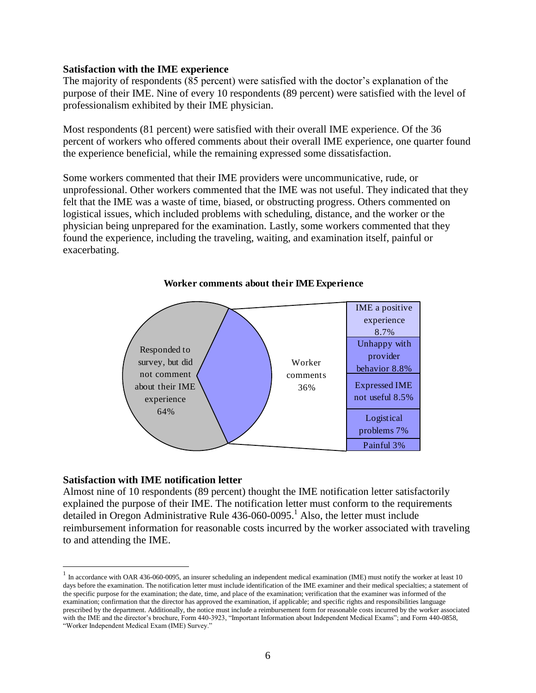### **Satisfaction with the IME experience**

The majority of respondents (85 percent) were satisfied with the doctor's explanation of the purpose of their IME. Nine of every 10 respondents (89 percent) were satisfied with the level of professionalism exhibited by their IME physician.

Most respondents (81 percent) were satisfied with their overall IME experience. Of the 36 percent of workers who offered comments about their overall IME experience, one quarter found the experience beneficial, while the remaining expressed some dissatisfaction.

Some workers commented that their IME providers were uncommunicative, rude, or unprofessional. Other workers commented that the IME was not useful. They indicated that they felt that the IME was a waste of time, biased, or obstructing progress. Others commented on logistical issues, which included problems with scheduling, distance, and the worker or the physician being unprepared for the examination. Lastly, some workers commented that they found the experience, including the traveling, waiting, and examination itself, painful or exacerbating.



#### **Worker comments about their IME Experience**

#### **Satisfaction with IME notification letter**

 $\overline{a}$ 

Almost nine of 10 respondents (89 percent) thought the IME notification letter satisfactorily explained the purpose of their IME. The notification letter must conform to the requirements detailed in Oregon Administrative Rule  $436-060-0095$ .<sup>1</sup> Also, the letter must include reimbursement information for reasonable costs incurred by the worker associated with traveling to and attending the IME.

 $1$  In accordance with OAR 436-060-0095, an insurer scheduling an independent medical examination (IME) must notify the worker at least 10 days before the examination. The notification letter must include identification of the IME examiner and their medical specialties; a statement of the specific purpose for the examination; the date, time, and place of the examination; verification that the examiner was informed of the examination; confirmation that the director has approved the examination, if applicable; and specific rights and responsibilities language prescribed by the department. Additionally, the notice must include a reimbursement form for reasonable costs incurred by the worker associated with the IME and the director's brochure, Form 440-3923, "Important Information about Independent Medical Exams"; and Form 440-0858, "Worker Independent Medical Exam (IME) Survey."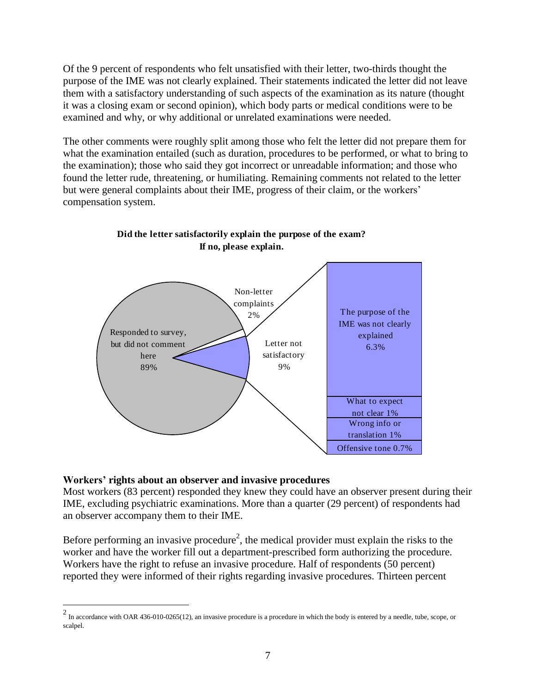Of the 9 percent of respondents who felt unsatisfied with their letter, two-thirds thought the purpose of the IME was not clearly explained. Their statements indicated the letter did not leave them with a satisfactory understanding of such aspects of the examination as its nature (thought it was a closing exam or second opinion), which body parts or medical conditions were to be examined and why, or why additional or unrelated examinations were needed.

The other comments were roughly split among those who felt the letter did not prepare them for what the examination entailed (such as duration, procedures to be performed, or what to bring to the examination); those who said they got incorrect or unreadable information; and those who found the letter rude, threatening, or humiliating. Remaining comments not related to the letter but were general complaints about their IME, progress of their claim, or the workers' compensation system.



# **Did the letter satisfactorily explain the purpose of the exam? If no, please explain.**

### **Workers' rights about an observer and invasive procedures**

Most workers (83 percent) responded they knew they could have an observer present during their IME, excluding psychiatric examinations. More than a quarter (29 percent) of respondents had an observer accompany them to their IME.

Before performing an invasive procedure<sup>2</sup>, the medical provider must explain the risks to the worker and have the worker fill out a department-prescribed form authorizing the procedure. Workers have the right to refuse an invasive procedure. Half of respondents (50 percent) reported they were informed of their rights regarding invasive procedures. Thirteen percent

 $\frac{2}{10}$  In accordance with OAR 436-010-0265(12), an invasive procedure is a procedure in which the body is entered by a needle, tube, scope, or scalpel.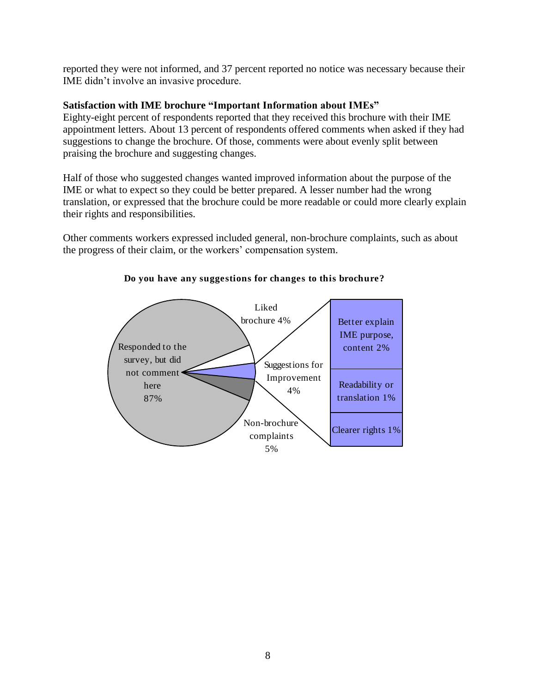reported they were not informed, and 37 percent reported no notice was necessary because their IME didn't involve an invasive procedure.

# **Satisfaction with IME brochure "Important Information about IMEs"**

Eighty-eight percent of respondents reported that they received this brochure with their IME appointment letters. About 13 percent of respondents offered comments when asked if they had suggestions to change the brochure. Of those, comments were about evenly split between praising the brochure and suggesting changes.

Half of those who suggested changes wanted improved information about the purpose of the IME or what to expect so they could be better prepared. A lesser number had the wrong translation, or expressed that the brochure could be more readable or could more clearly explain their rights and responsibilities.

Other comments workers expressed included general, non-brochure complaints, such as about the progress of their claim, or the workers' compensation system.



### **Do you have any suggestions for changes to this brochure?**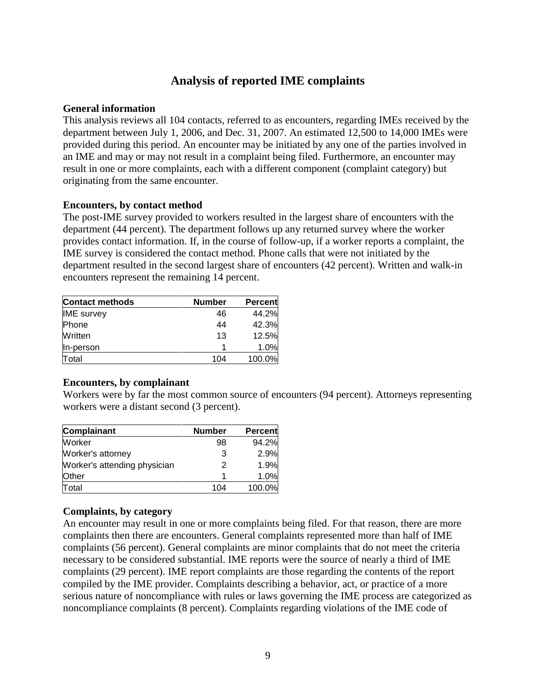# **Analysis of reported IME complaints**

### <span id="page-8-0"></span>**General information**

This analysis reviews all 104 contacts, referred to as encounters, regarding IMEs received by the department between July 1, 2006, and Dec. 31, 2007. An estimated 12,500 to 14,000 IMEs were provided during this period. An encounter may be initiated by any one of the parties involved in an IME and may or may not result in a complaint being filed. Furthermore, an encounter may result in one or more complaints, each with a different component (complaint category) but originating from the same encounter.

### **Encounters, by contact method**

The post-IME survey provided to workers resulted in the largest share of encounters with the department (44 percent). The department follows up any returned survey where the worker provides contact information. If, in the course of follow-up, if a worker reports a complaint, the IME survey is considered the contact method. Phone calls that were not initiated by the department resulted in the second largest share of encounters (42 percent). Written and walk-in encounters represent the remaining 14 percent.

| <b>Contact methods</b> | <b>Number</b> | <b>Percent</b> |
|------------------------|---------------|----------------|
| <b>IME</b> survey      | 46            | 44.2%          |
| Phone                  | 44            | 42.3%          |
| Written                | 13            | 12.5%          |
| In-person              |               | 1.0%           |
| Total                  | 104           | 100.0%         |

### **Encounters, by complainant**

Workers were by far the most common source of encounters (94 percent). Attorneys representing workers were a distant second (3 percent).

| <b>Complainant</b>           | <b>Number</b> | <b>Percent</b> |
|------------------------------|---------------|----------------|
| Worker                       | 98            | 94.2%          |
| Worker's attorney            | 3             | 2.9%           |
| Worker's attending physician | 2             | 1.9%           |
| Other                        |               | 1.0%           |
| Total                        | 104           | 100.0%         |

### **Complaints, by category**

An encounter may result in one or more complaints being filed. For that reason, there are more complaints then there are encounters. General complaints represented more than half of IME complaints (56 percent). General complaints are minor complaints that do not meet the criteria necessary to be considered substantial. IME reports were the source of nearly a third of IME complaints (29 percent). IME report complaints are those regarding the contents of the report compiled by the IME provider. Complaints describing a behavior, act, or practice of a more serious nature of noncompliance with rules or laws governing the IME process are categorized as noncompliance complaints (8 percent). Complaints regarding violations of the IME code of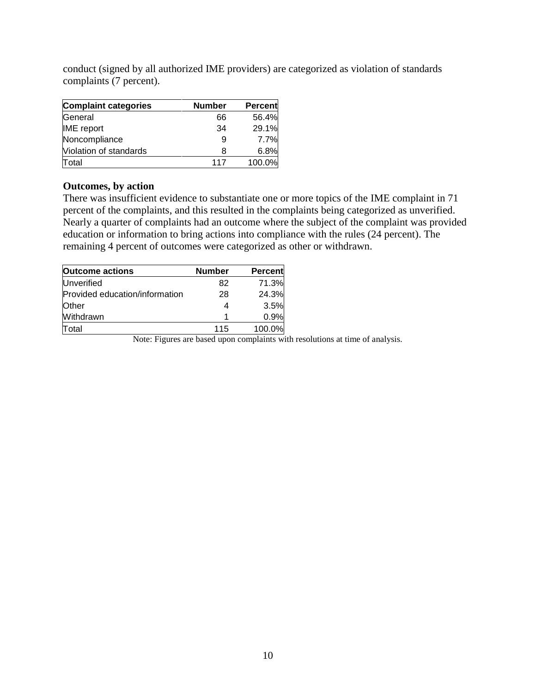conduct (signed by all authorized IME providers) are categorized as violation of standards complaints (7 percent).

| <b>Complaint categories</b> | <b>Number</b> | <b>Percent</b> |
|-----------------------------|---------------|----------------|
| General                     | 66            | 56.4%          |
| <b>IME</b> report           | 34            | 29.1%          |
| Noncompliance               | 9             | 7.7%           |
| Violation of standards      | 8             | 6.8%           |
| Total                       | 117           | 100.0%         |

### **Outcomes, by action**

There was insufficient evidence to substantiate one or more topics of the IME complaint in 71 percent of the complaints, and this resulted in the complaints being categorized as unverified. Nearly a quarter of complaints had an outcome where the subject of the complaint was provided education or information to bring actions into compliance with the rules (24 percent). The remaining 4 percent of outcomes were categorized as other or withdrawn.

| <b>Outcome actions</b>         | <b>Number</b> | <b>Percent</b> |
|--------------------------------|---------------|----------------|
| Unverified                     | 82            | 71.3%          |
| Provided education/information | 28            | 24.3%          |
| Other                          |               | 3.5%           |
| Withdrawn                      | 1             | 0.9%           |
| Total                          | 115           | 100.0%         |

Note: Figures are based upon complaints with resolutions at time of analysis.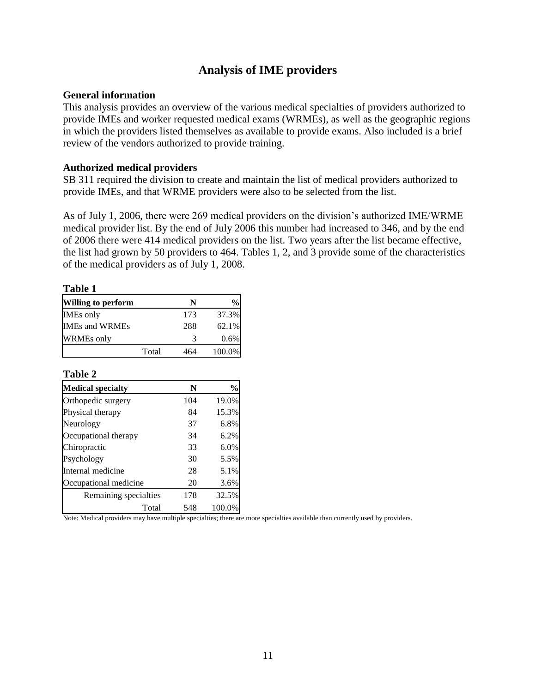# **Analysis of IME providers**

### <span id="page-10-0"></span>**General information**

This analysis provides an overview of the various medical specialties of providers authorized to provide IMEs and worker requested medical exams (WRMEs), as well as the geographic regions in which the providers listed themselves as available to provide exams. Also included is a brief review of the vendors authorized to provide training.

### **Authorized medical providers**

SB 311 required the division to create and maintain the list of medical providers authorized to provide IMEs, and that WRME providers were also to be selected from the list.

As of July 1, 2006, there were 269 medical providers on the division's authorized IME/WRME medical provider list. By the end of July 2006 this number had increased to 346, and by the end of 2006 there were 414 medical providers on the list. Two years after the list became effective, the list had grown by 50 providers to 464. Tables 1, 2, and 3 provide some of the characteristics of the medical providers as of July 1, 2008.

| m<br>. .<br>× |  |
|---------------|--|
|---------------|--|

| <b>Willing to perform</b> |       | N   | $\%$   |
|---------------------------|-------|-----|--------|
| <b>IMEs</b> only          |       | 173 | 37.3%  |
| <b>IMEs and WRMEs</b>     |       | 288 | 62.1%  |
| <b>WRMEs</b> only         |       |     | 0.6%   |
|                           | Total | 464 | 100.0% |

### **Table 2**

| <b>Medical specialty</b> | N   | $\%$   |
|--------------------------|-----|--------|
| Orthopedic surgery       | 104 | 19.0%  |
| Physical therapy         | 84  | 15.3%  |
| Neurology                | 37  | 6.8%   |
| Occupational therapy     | 34  | 6.2%   |
| Chiropractic             | 33  | 6.0%   |
| Psychology               | 30  | 5.5%   |
| Internal medicine        | 28  | 5.1%   |
| Occupational medicine    | 20  | 3.6%   |
| Remaining specialties    | 178 | 32.5%  |
| Total                    | 548 | 100.0% |

Note: Medical providers may have multiple specialties; there are more specialties available than currently used by providers.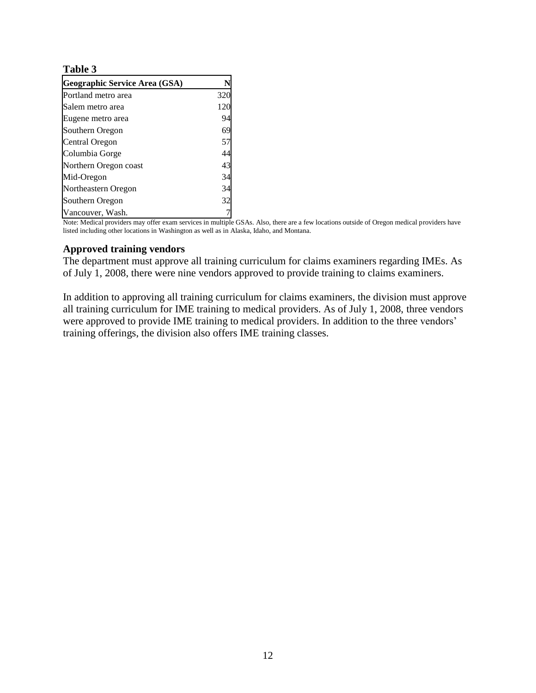### **Table 3**

| Geographic Service Area (GSA) |     |
|-------------------------------|-----|
| Portland metro area           | 320 |
| Salem metro area              | 120 |
| Eugene metro area             | 94  |
| Southern Oregon               | 69  |
| Central Oregon                | 57  |
| Columbia Gorge                | 44  |
| Northern Oregon coast         | 43  |
| Mid-Oregon                    | 34  |
| Northeastern Oregon           | 34  |
| Southern Oregon               | 32  |
| Vancouver, Wash.              |     |

Note: Medical providers may offer exam services in multiple GSAs. Also, there are a few locations outside of Oregon medical providers have listed including other locations in Washington as well as in Alaska, Idaho, and Montana.

### **Approved training vendors**

The department must approve all training curriculum for claims examiners regarding IMEs. As of July 1, 2008, there were nine vendors approved to provide training to claims examiners.

In addition to approving all training curriculum for claims examiners, the division must approve all training curriculum for IME training to medical providers. As of July 1, 2008, three vendors were approved to provide IME training to medical providers. In addition to the three vendors' training offerings, the division also offers IME training classes.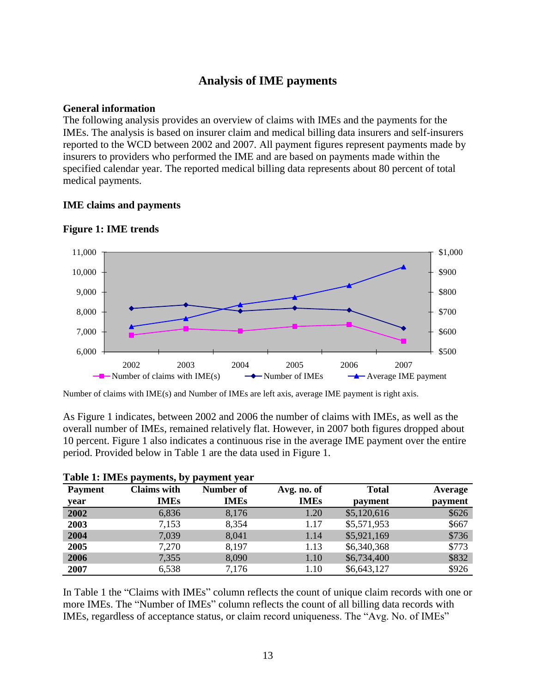# **Analysis of IME payments**

### <span id="page-12-0"></span>**General information**

The following analysis provides an overview of claims with IMEs and the payments for the IMEs. The analysis is based on insurer claim and medical billing data insurers and self-insurers reported to the WCD between 2002 and 2007. All payment figures represent payments made by insurers to providers who performed the IME and are based on payments made within the specified calendar year. The reported medical billing data represents about 80 percent of total medical payments.

### **IME claims and payments**



### **Figure 1: IME trends**

Number of claims with IME(s) and Number of IMEs are left axis, average IME payment is right axis.

As Figure 1 indicates, between 2002 and 2006 the number of claims with IMEs, as well as the overall number of IMEs, remained relatively flat. However, in 2007 both figures dropped about 10 percent. Figure 1 also indicates a continuous rise in the average IME payment over the entire period. Provided below in Table 1 are the data used in Figure 1.

| <b>Payment</b> | ו- י<br><i></i><br><b>Claims</b> with | Number of   | Avg. no. of | <b>Total</b> | Average |
|----------------|---------------------------------------|-------------|-------------|--------------|---------|
| year           | <b>IMEs</b>                           | <b>IMEs</b> | <b>IMEs</b> | payment      | payment |
| 2002           | 6,836                                 | 8,176       | 1.20        | \$5,120,616  | \$626   |
| 2003           | 7,153                                 | 8,354       | 1.17        | \$5,571,953  | \$667   |
| 2004           | 7,039                                 | 8,041       | 1.14        | \$5,921,169  | \$736   |
| 2005           | 7,270                                 | 8,197       | 1.13        | \$6,340,368  | \$773   |
| 2006           | 7,355                                 | 8,090       | 1.10        | \$6,734,400  | \$832   |
| 2007           | 6,538                                 | 7,176       | 1.10        | \$6,643,127  | \$926   |

|  |  |  |  | Table 1: IMEs payments, by payment year |  |
|--|--|--|--|-----------------------------------------|--|
|--|--|--|--|-----------------------------------------|--|

In Table 1 the "Claims with IMEs" column reflects the count of unique claim records with one or more IMEs. The "Number of IMEs" column reflects the count of all billing data records with IMEs, regardless of acceptance status, or claim record uniqueness. The "Avg. No. of IMEs"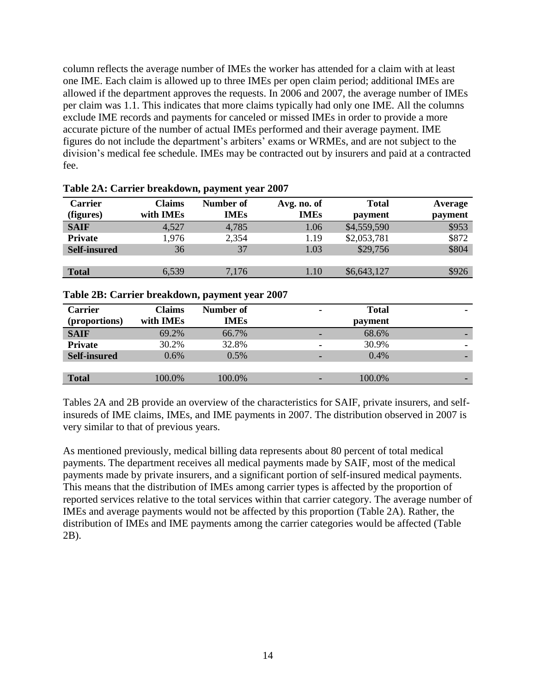column reflects the average number of IMEs the worker has attended for a claim with at least one IME. Each claim is allowed up to three IMEs per open claim period; additional IMEs are allowed if the department approves the requests. In 2006 and 2007, the average number of IMEs per claim was 1.1. This indicates that more claims typically had only one IME. All the columns exclude IME records and payments for canceled or missed IMEs in order to provide a more accurate picture of the number of actual IMEs performed and their average payment. IME figures do not include the department's arbiters' exams or WRMEs, and are not subject to the division's medical fee schedule. IMEs may be contracted out by insurers and paid at a contracted fee.

| <b>Carrier</b><br>(figures) | <b>Claims</b><br>with IMEs | Number of<br><b>IMEs</b> | Avg. no. of<br><b>IMEs</b> | <b>Total</b><br>payment | Average<br>payment |
|-----------------------------|----------------------------|--------------------------|----------------------------|-------------------------|--------------------|
| <b>SAIF</b>                 | 4,527                      | 4,785                    | 1.06                       | \$4,559,590             | \$953              |
| <b>Private</b>              | 1,976                      | 2,354                    | 1.19                       | \$2,053,781             | \$872              |
| <b>Self-insured</b>         | 36                         | 37                       | 1.03                       | \$29,756                | \$804              |
|                             |                            |                          |                            |                         |                    |
| <b>Total</b>                | 6,539                      | 7,176                    | 1.10                       | \$6,643,127             | \$926              |

## **Table 2A: Carrier breakdown, payment year 2007**

### **Table 2B: Carrier breakdown, payment year 2007**

| <b>Carrier</b><br>(proportions) | Claims<br>with IMEs | Number of<br><b>IMEs</b> | <b>Total</b><br>۰<br>payment |
|---------------------------------|---------------------|--------------------------|------------------------------|
| <b>SAIF</b>                     | 69.2%               | 66.7%                    | 68.6%                        |
| <b>Private</b>                  | 30.2%               | 32.8%                    | 30.9%<br>۰<br>۰              |
| <b>Self-insured</b>             | 0.6%                | 0.5%                     | 0.4%                         |
|                                 |                     |                          |                              |
| <b>Total</b>                    | 100.0%              | 100.0%                   | 100.0%                       |

Tables 2A and 2B provide an overview of the characteristics for SAIF, private insurers, and selfinsureds of IME claims, IMEs, and IME payments in 2007. The distribution observed in 2007 is very similar to that of previous years.

As mentioned previously, medical billing data represents about 80 percent of total medical payments. The department receives all medical payments made by SAIF, most of the medical payments made by private insurers, and a significant portion of self-insured medical payments. This means that the distribution of IMEs among carrier types is affected by the proportion of reported services relative to the total services within that carrier category. The average number of IMEs and average payments would not be affected by this proportion (Table 2A). Rather, the distribution of IMEs and IME payments among the carrier categories would be affected (Table 2B).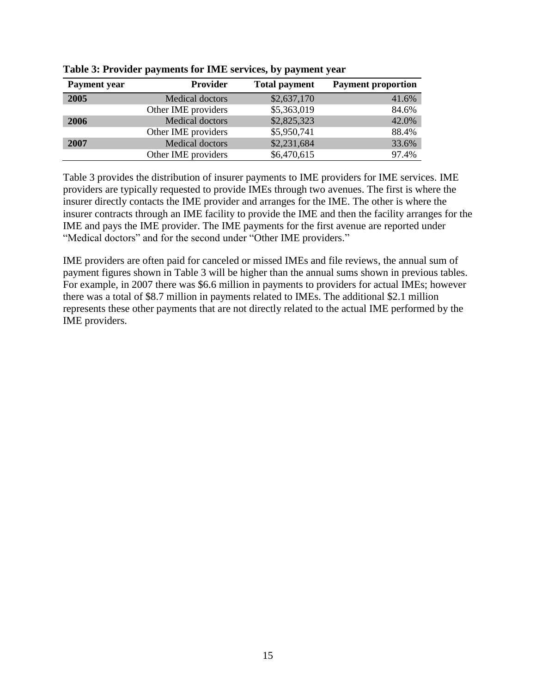| <b>Payment</b> year | <b>Provider</b>        | <b>Total payment</b> | <b>Payment proportion</b> |
|---------------------|------------------------|----------------------|---------------------------|
| 2005                | Medical doctors        | \$2,637,170          | 41.6%                     |
|                     | Other IME providers    | \$5,363,019          | 84.6%                     |
| 2006                | <b>Medical doctors</b> | \$2,825,323          | 42.0%                     |
|                     | Other IME providers    | \$5,950,741          | 88.4%                     |
| 2007                | Medical doctors        | \$2,231,684          | 33.6%                     |
|                     | Other IME providers    | \$6,470,615          | 97.4%                     |

**Table 3: Provider payments for IME services, by payment year**

Table 3 provides the distribution of insurer payments to IME providers for IME services. IME providers are typically requested to provide IMEs through two avenues. The first is where the insurer directly contacts the IME provider and arranges for the IME. The other is where the insurer contracts through an IME facility to provide the IME and then the facility arranges for the IME and pays the IME provider. The IME payments for the first avenue are reported under "Medical doctors" and for the second under "Other IME providers."

IME providers are often paid for canceled or missed IMEs and file reviews, the annual sum of payment figures shown in Table 3 will be higher than the annual sums shown in previous tables. For example, in 2007 there was \$6.6 million in payments to providers for actual IMEs; however there was a total of \$8.7 million in payments related to IMEs. The additional \$2.1 million represents these other payments that are not directly related to the actual IME performed by the IME providers.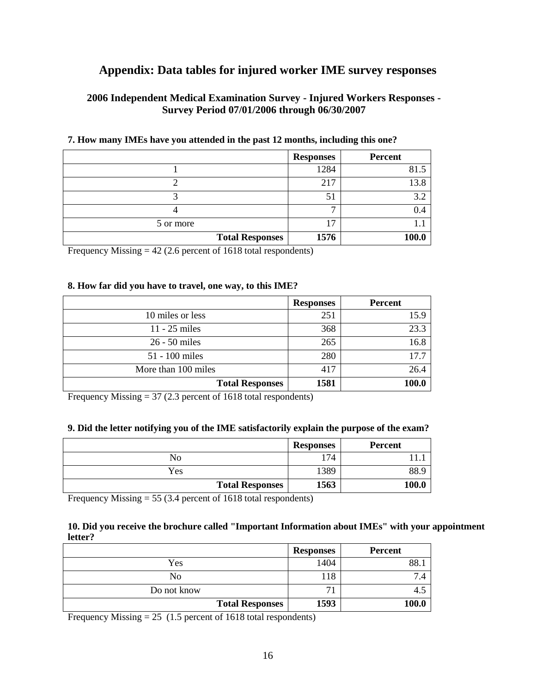# <span id="page-15-0"></span>**Appendix: Data tables for injured worker IME survey responses**

# **2006 Independent Medical Examination Survey - Injured Workers Responses - Survey Period 07/01/2006 through 06/30/2007**

|                        | <b>Responses</b> | <b>Percent</b> |
|------------------------|------------------|----------------|
|                        | 1284             | 81.5           |
|                        | 217              | 13.8           |
|                        | 51               | 3.2            |
|                        |                  | 0.4            |
| 5 or more              | רו               | 1. J           |
| <b>Total Responses</b> | 1576             | 100.0          |

### **7. How many IMEs have you attended in the past 12 months, including this one?**

Frequency Missing = 42 (2.6 percent of 1618 total respondents)

### **8. How far did you have to travel, one way, to this IME?**

|                        | <b>Responses</b> | <b>Percent</b> |
|------------------------|------------------|----------------|
| 10 miles or less       | 251              | 15.9           |
| 11 - 25 miles          | 368              | 23.3           |
| 26 - 50 miles          | 265              | 16.8           |
| 51 - 100 miles         | 280              | 17.7           |
| More than 100 miles    | 417              | 26.4           |
| <b>Total Responses</b> | 1581             | 100.0          |

Frequency Missing = 37 (2.3 percent of 1618 total respondents)

### **9. Did the letter notifying you of the IME satisfactorily explain the purpose of the exam?**

|                        | <b>Responses</b> | <b>Percent</b> |
|------------------------|------------------|----------------|
| No                     | 174              |                |
| Yes                    | 1389             | 88.            |
| <b>Total Responses</b> | 1563             | 100.0          |

Frequency Missing = 55 (3.4 percent of 1618 total respondents)

### **10. Did you receive the brochure called "Important Information about IMEs" with your appointment letter?**

|                        | <b>Responses</b> | <b>Percent</b> |
|------------------------|------------------|----------------|
| Yes                    | 1404             | 88.            |
| No                     | 118              |                |
| Do not know            | 7 <sub>1</sub>   |                |
| <b>Total Responses</b> | 1593             | 100.0          |

Frequency Missing  $= 25$  (1.5 percent of 1618 total respondents)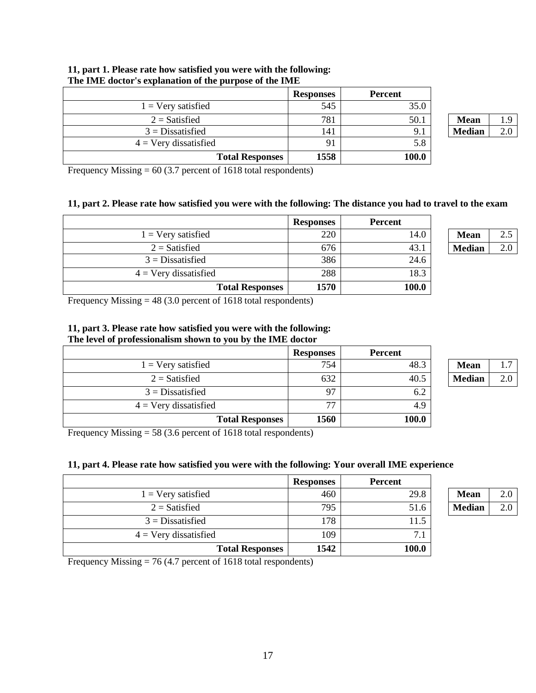|                         | <b>Responses</b> | <b>Percent</b> |               |     |
|-------------------------|------------------|----------------|---------------|-----|
| $1 =$ Very satisfied    | 545              | 35.0           |               |     |
| $2 =$ Satisfied         | 781              | 50.1           | <b>Mean</b>   | 1.9 |
| $3 = Dissatisfied$      | 141              | 9.1            | <b>Median</b> | 2.0 |
| $4 =$ Very dissatisfied | 91               | 5.8            |               |     |
| <b>Total Responses</b>  | 1558             | 100.0          |               |     |

#### **11, part 1. Please rate how satisfied you were with the following: The IME doctor's explanation of the purpose of the IME**

Frequency Missing  $= 60 (3.7 \text{ percent of } 1618 \text{ total respondents})$ 

#### **11, part 2. Please rate how satisfied you were with the following: The distance you had to travel to the exam**

|                         | <b>Responses</b> | Percent |               |     |
|-------------------------|------------------|---------|---------------|-----|
| $1 =$ Very satisfied    | 220              | 14.0    | <b>Mean</b>   | 2.5 |
| $2 =$ Satisfied         | 676              | 43.1    | <b>Median</b> | 2.0 |
| $3 = Dissatisfied$      | 386              | 24.6    |               |     |
| $4 =$ Very dissatisfied | 288              | 18.3    |               |     |
| <b>Total Responses</b>  | 1570             | 100.0   |               |     |

| Mean          |  |
|---------------|--|
| <b>Median</b> |  |

Frequency Missing = 48 (3.0 percent of 1618 total respondents)

## **11, part 3. Please rate how satisfied you were with the following:**

#### **The level of professionalism shown to you by the IME doctor**

|                             | <b>Responses</b> | Percent |               |     |
|-----------------------------|------------------|---------|---------------|-----|
| $1 = \text{Very satisfied}$ | 754              | 48.3    | <b>Mean</b>   | 1.7 |
| $2 =$ Satisfied             | 632              | 40.5    | <b>Median</b> | 2.0 |
| $3 =$ Dissatisfied          | 97               | 6.2     |               |     |
| $4 =$ Very dissatisfied     | 77               | 4.9     |               |     |
| <b>Total Responses</b>      | 1560             | 100.0   |               |     |

| mean   |  |
|--------|--|
| Median |  |

Frequency Missing = 58 (3.6 percent of 1618 total respondents)

### **11, part 4. Please rate how satisfied you were with the following: Your overall IME experience**

|                                | <b>Responses</b> | <b>Percent</b> |               |     |
|--------------------------------|------------------|----------------|---------------|-----|
| $1 =$ Very satisfied           | 460              | 29.8           | <b>Mean</b>   | 2.0 |
| $2 =$ Satisfied                | 795              | 51.6           | <b>Median</b> | 2.0 |
| $3 = Dissatisfied$             | 178              | 11.5           |               |     |
| $4 = \text{Very dissatisfied}$ | 109              | 7.1            |               |     |
| <b>Total Responses</b>         | 1542             | 100.0          |               |     |

Frequency Missing = 76 (4.7 percent of 1618 total respondents)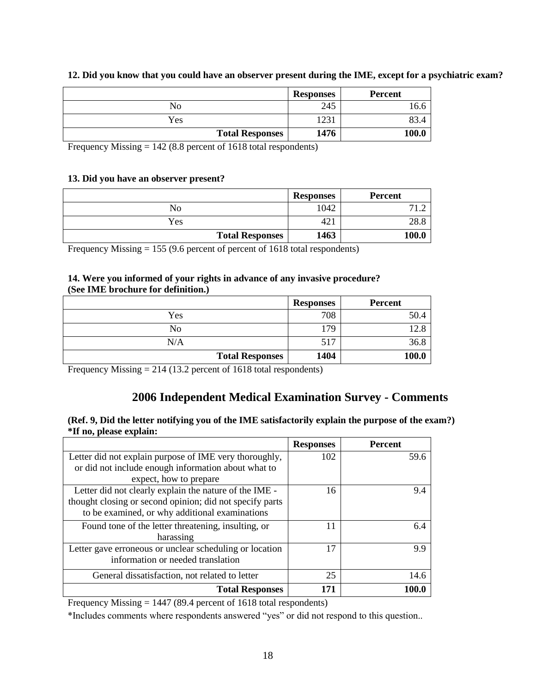|                        | <b>Responses</b> | <b>Percent</b> |
|------------------------|------------------|----------------|
| No                     | 245              |                |
| Yes                    | 1231             |                |
| <b>Total Responses</b> | 1476             | 100.0          |

### **12. Did you know that you could have an observer present during the IME, except for a psychiatric exam?**

Frequency Missing = 142 (8.8 percent of 1618 total respondents)

### **13. Did you have an observer present?**

|                        | <b>Responses</b> | <b>Percent</b> |
|------------------------|------------------|----------------|
| No                     | 1042             |                |
| Yes                    | 421              | 20.C           |
| <b>Total Responses</b> | 1463             | 100.0          |

Frequency Missing = 155 (9.6 percent of percent of 1618 total respondents)

#### **14. Were you informed of your rights in advance of any invasive procedure? (See IME brochure for definition.)**

|                        | <b>Responses</b> | <b>Percent</b> |
|------------------------|------------------|----------------|
| Yes                    | 708              | 50.4           |
| N <sub>o</sub>         | 179              | $'2.\xi$       |
| N/A                    | 517              | 36.8           |
| <b>Total Responses</b> | 1404             | 100.0          |

Frequency Missing = 214 (13.2 percent of 1618 total respondents)

# **2006 Independent Medical Examination Survey - Comments**

#### **(Ref. 9, Did the letter notifying you of the IME satisfactorily explain the purpose of the exam?) \*If no, please explain:**

|                                                          | <b>Responses</b> | <b>Percent</b> |
|----------------------------------------------------------|------------------|----------------|
| Letter did not explain purpose of IME very thoroughly,   | 102              | 59.6           |
| or did not include enough information about what to      |                  |                |
| expect, how to prepare                                   |                  |                |
| Letter did not clearly explain the nature of the IME -   | 16               | 9.4            |
| thought closing or second opinion; did not specify parts |                  |                |
| to be examined, or why additional examinations           |                  |                |
| Found tone of the letter threatening, insulting, or      | 11               | 6.4            |
| harassing                                                |                  |                |
| Letter gave erroneous or unclear scheduling or location  | 17               | 9.9            |
| information or needed translation                        |                  |                |
| General dissatisfaction, not related to letter           | 25               | 14.6           |
| <b>Total Responses</b>                                   | 171              | 100.0          |

Frequency Missing = 1447 (89.4 percent of 1618 total respondents)

\*Includes comments where respondents answered "yes" or did not respond to this question..